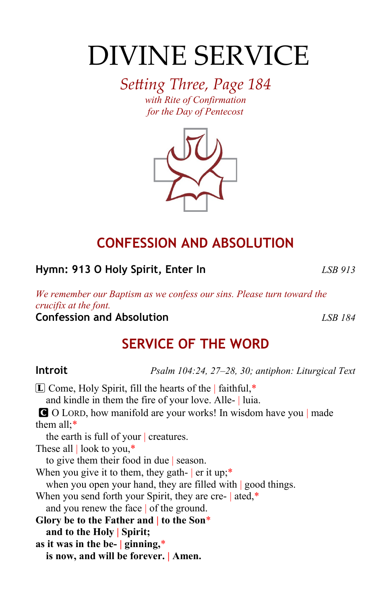# DIVINE SERVICE

*Setting Three, Page 184 with Rite of Confirmation for the Day of Pentecost*



### **CONFESSION AND ABSOLUTION**

**Hymn: 913 O Holy Spirit, Enter In** *LSB 913*

*We remember our Baptism as we confess our sins. Please turn toward the crucifix at the font.*

**Confession and Absolution** *LSB 184*

### **SERVICE OF THE WORD**

**Introit** *Psalm 104:24, 27–28, 30; antiphon: Liturgical Text*

 $\Box$  Come, Holy Spirit, fill the hearts of the | faithful,\* and kindle in them the fire of your love. Alle- | luia. C O LORD, how manifold are your works! In wisdom have you | made them all;\* the earth is full of your | creatures. These all | look to you,\* to give them their food in due | season. When you give it to them, they gath-  $|$  er it up;\* when you open your hand, they are filled with good things. When you send forth your Spirit, they are cre- | ated,\* and you renew the face | of the ground. **Glory be to the Father and | to the Son**\* **and to the Holy | Spirit; as it was in the be- | ginning,**\* **is now, and will be forever. | Amen.**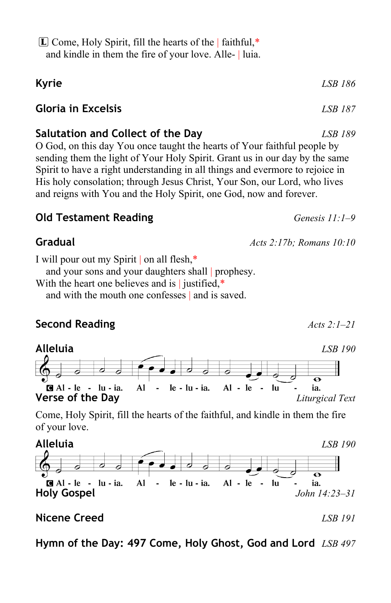| $\boxed{\mathbb{L}}$ Come, Holy Spirit, fill the hearts of the   faithful,* |  |
|-----------------------------------------------------------------------------|--|
| and kindle in them the fire of your love. Alle-   luia.                     |  |

## **Kyrie** *LSB 186*

#### **Gloria in Excelsis** *LSB 187*

#### **Salutation and Collect of the Day** *LSB 189*

O God, on this day You once taught the hearts of Your faithful people by sending them the light of Your Holy Spirit. Grant us in our day by the same Spirit to have a right understanding in all things and evermore to rejoice in His holy consolation; through Jesus Christ, Your Son, our Lord, who lives and reigns with You and the Holy Spirit, one God, now and forever.

#### **Old Testament Reading** *Genesis 11:1–9*

I will pour out my Spirit | on all flesh,\*

and your sons and your daughters shall prophesy.

and with the mouth one confesses | and is saved.

#### **Second Reading** *Acts 2:1–21*



Come, Holy Spirit, fill the hearts of the faithful, and kindle in them the fire of your love.



#### **Nicene Creed** *LSB 191*

**Hymn of the Day: 497 Come, Holy Ghost, God and Lord** *LSB 497*

With the heart one believes and is  $\vert$  justified,\*

**Gradual** *Acts 2:17b; Romans 10:10*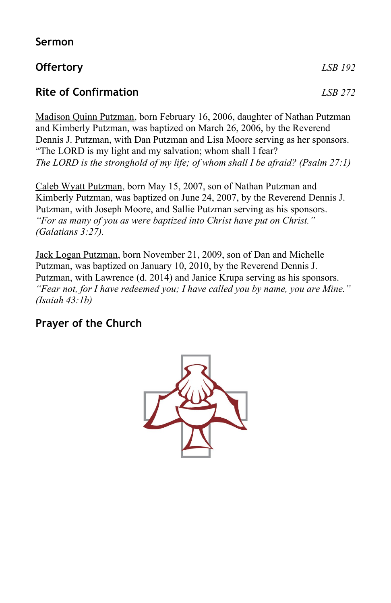#### **Sermon**

#### **Offertory** *LSB 192*

#### **Rite of Confirmation** *LSB 272*

Madison Quinn Putzman, born February 16, 2006, daughter of Nathan Putzman and Kimberly Putzman, was baptized on March 26, 2006, by the Reverend Dennis J. Putzman, with Dan Putzman and Lisa Moore serving as her sponsors. "The LORD is my light and my salvation; whom shall I fear? *The LORD is the stronghold of my life; of whom shall I be afraid? (Psalm 27:1)*

Caleb Wyatt Putzman, born May 15, 2007, son of Nathan Putzman and Kimberly Putzman, was baptized on June 24, 2007, by the Reverend Dennis J. Putzman, with Joseph Moore, and Sallie Putzman serving as his sponsors. *"For as many of you as were baptized into Christ have put on Christ." (Galatians 3:27).*

Jack Logan Putzman, born November 21, 2009, son of Dan and Michelle Putzman, was baptized on January 10, 2010, by the Reverend Dennis J. Putzman, with Lawrence (d. 2014) and Janice Krupa serving as his sponsors. *"Fear not, for I have redeemed you; I have called you by name, you are Mine." (Isaiah 43:1b)*

#### **Prayer of the Church**